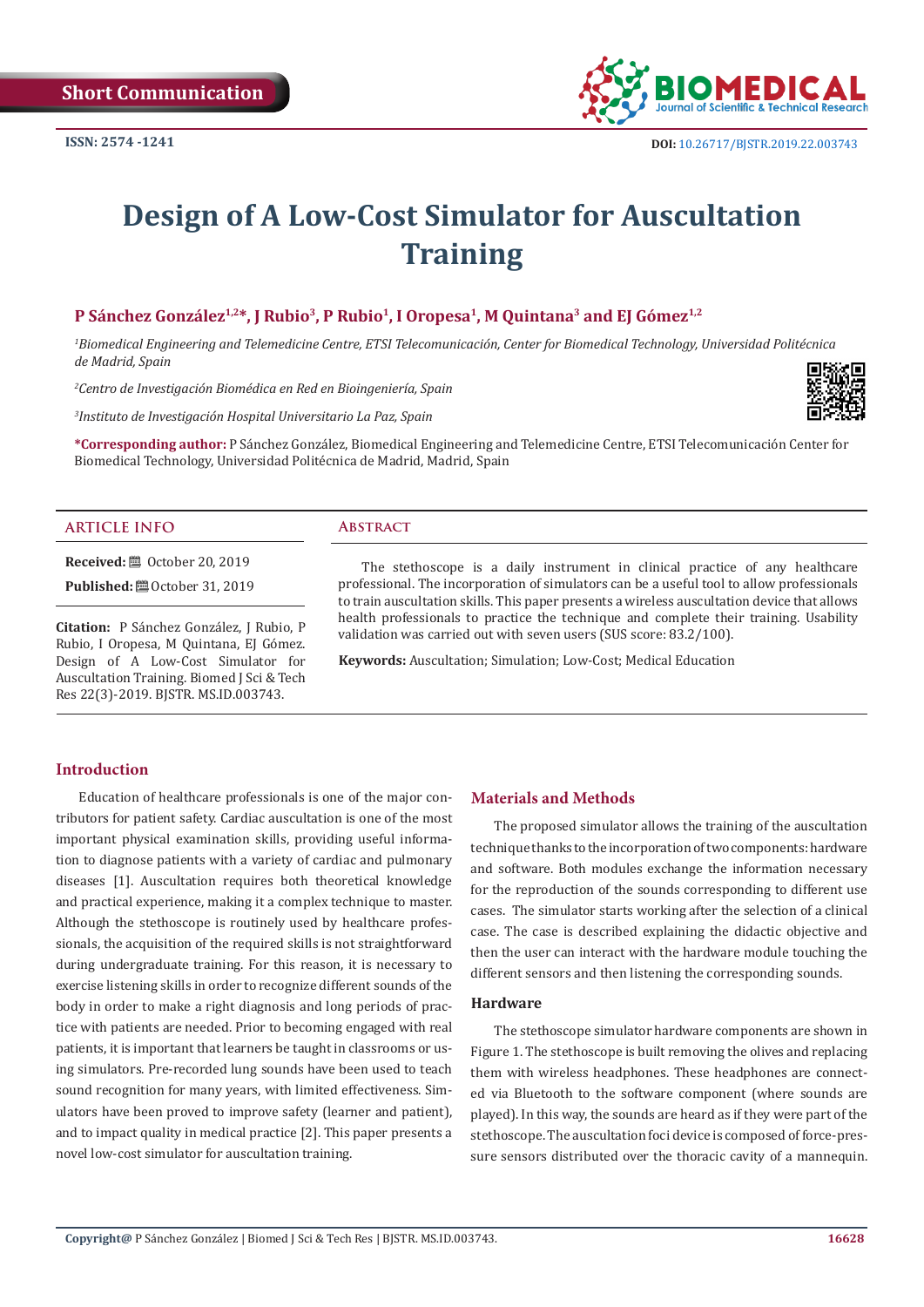**Short Communication**



# **Design of A Low-Cost Simulator for Auscultation Training**

# **P Sánchez González1,2\*, J Rubio3, P Rubio1, I Oropesa1, M Quintana3 and EJ Gómez1,2**

*1 Biomedical Engineering and Telemedicine Centre, ETSI Telecomunicación, Center for Biomedical Technology, Universidad Politécnica de Madrid, Spain*

*2 Centro de Investigación Biomédica en Red en Bioingeniería, Spain*

*3 Instituto de Investigación Hospital Universitario La Paz, Spain*



**\*Corresponding author:** P Sánchez González, Biomedical Engineering and Telemedicine Centre, ETSI Telecomunicación Center for Biomedical Technology, Universidad Politécnica de Madrid, Madrid, Spain

#### **ARTICLE INFO Abstract**

**Received:** ■ October 20, 2019

**Published:** ■ October 31, 2019

**Citation:** P Sánchez González, J Rubio, P Rubio, I Oropesa, M Quintana, EJ Gómez. Design of A Low-Cost Simulator for Auscultation Training. Biomed J Sci & Tech Res 22(3)-2019. BJSTR. MS.ID.003743.

The stethoscope is a daily instrument in clinical practice of any healthcare professional. The incorporation of simulators can be a useful tool to allow professionals to train auscultation skills. This paper presents a wireless auscultation device that allows health professionals to practice the technique and complete their training. Usability validation was carried out with seven users (SUS score: 83.2/100).

**Keywords:** Auscultation; Simulation; Low-Cost; Medical Education

#### **Introduction**

Education of healthcare professionals is one of the major contributors for patient safety. Cardiac auscultation is one of the most important physical examination skills, providing useful information to diagnose patients with a variety of cardiac and pulmonary diseases [1]. Auscultation requires both theoretical knowledge and practical experience, making it a complex technique to master. Although the stethoscope is routinely used by healthcare professionals, the acquisition of the required skills is not straightforward during undergraduate training. For this reason, it is necessary to exercise listening skills in order to recognize different sounds of the body in order to make a right diagnosis and long periods of practice with patients are needed. Prior to becoming engaged with real patients, it is important that learners be taught in classrooms or using simulators. Pre-recorded lung sounds have been used to teach sound recognition for many years, with limited effectiveness. Simulators have been proved to improve safety (learner and patient), and to impact quality in medical practice [2]. This paper presents a novel low-cost simulator for auscultation training.

#### **Materials and Methods**

The proposed simulator allows the training of the auscultation technique thanks to the incorporation of two components: hardware and software. Both modules exchange the information necessary for the reproduction of the sounds corresponding to different use cases. The simulator starts working after the selection of a clinical case. The case is described explaining the didactic objective and then the user can interact with the hardware module touching the different sensors and then listening the corresponding sounds.

#### **Hardware**

The stethoscope simulator hardware components are shown in Figure 1. The stethoscope is built removing the olives and replacing them with wireless headphones. These headphones are connected via Bluetooth to the software component (where sounds are played). In this way, the sounds are heard as if they were part of the stethoscope. The auscultation foci device is composed of force-pressure sensors distributed over the thoracic cavity of a mannequin.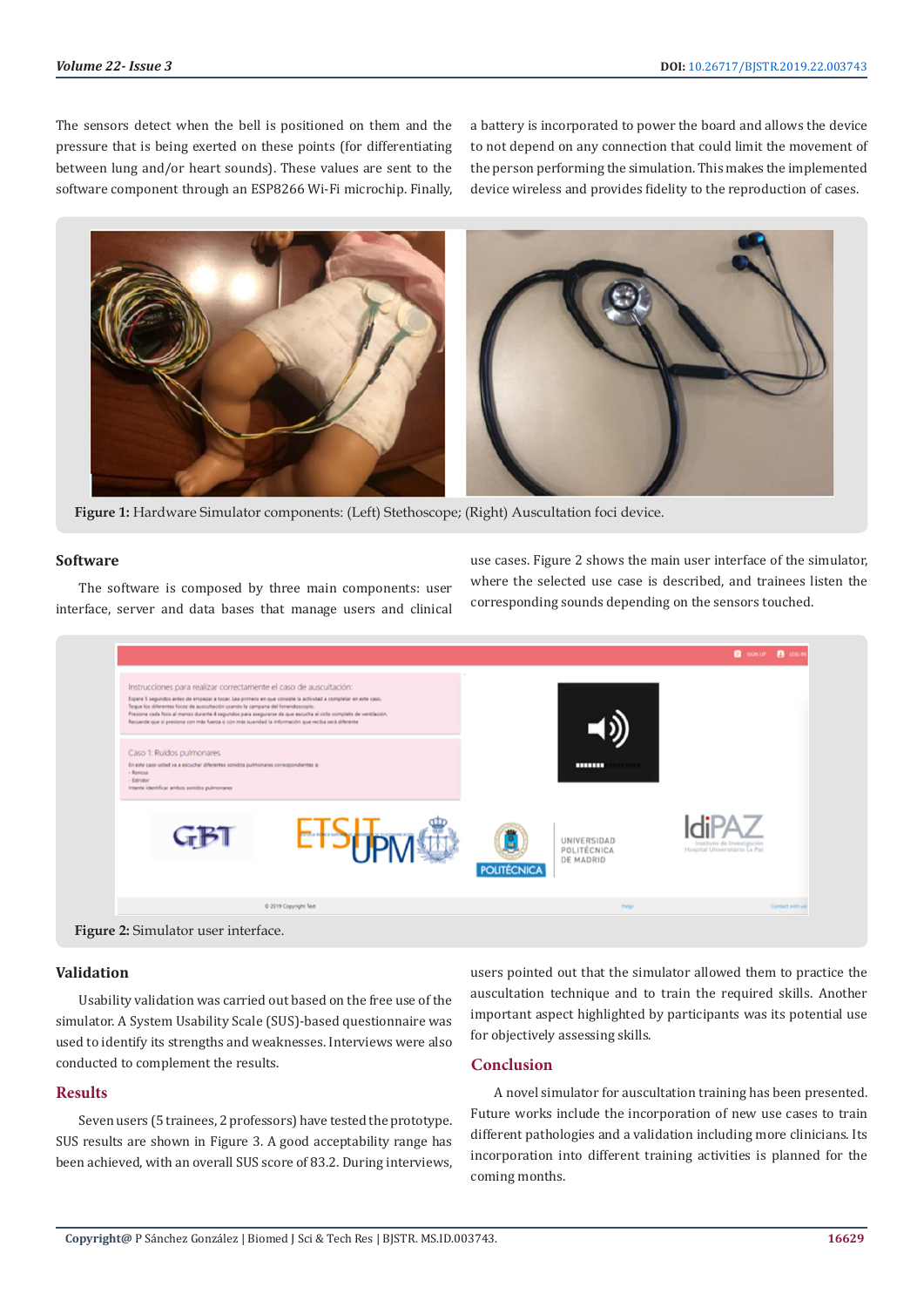The sensors detect when the bell is positioned on them and the pressure that is being exerted on these points (for differentiating between lung and/or heart sounds). These values are sent to the software component through an ESP8266 Wi-Fi microchip. Finally,

a battery is incorporated to power the board and allows the device to not depend on any connection that could limit the movement of the person performing the simulation. This makes the implemented device wireless and provides fidelity to the reproduction of cases.



**Figure 1:** Hardware Simulator components: (Left) Stethoscope; (Right) Auscultation foci device.

#### **Software**

The software is composed by three main components: user interface, server and data bases that manage users and clinical use cases. Figure 2 shows the main user interface of the simulator, where the selected use case is described, and trainees listen the corresponding sounds depending on the sensors touched.



**Figure 2:** Simulator user interface.

#### **Validation**

Usability validation was carried out based on the free use of the simulator. A System Usability Scale (SUS)-based questionnaire was used to identify its strengths and weaknesses. Interviews were also conducted to complement the results.

## **Results**

Seven users (5 trainees, 2 professors) have tested the prototype. SUS results are shown in Figure 3. A good acceptability range has been achieved, with an overall SUS score of 83.2. During interviews, users pointed out that the simulator allowed them to practice the auscultation technique and to train the required skills. Another important aspect highlighted by participants was its potential use for objectively assessing skills.

# **Conclusion**

A novel simulator for auscultation training has been presented. Future works include the incorporation of new use cases to train different pathologies and a validation including more clinicians. Its incorporation into different training activities is planned for the coming months.